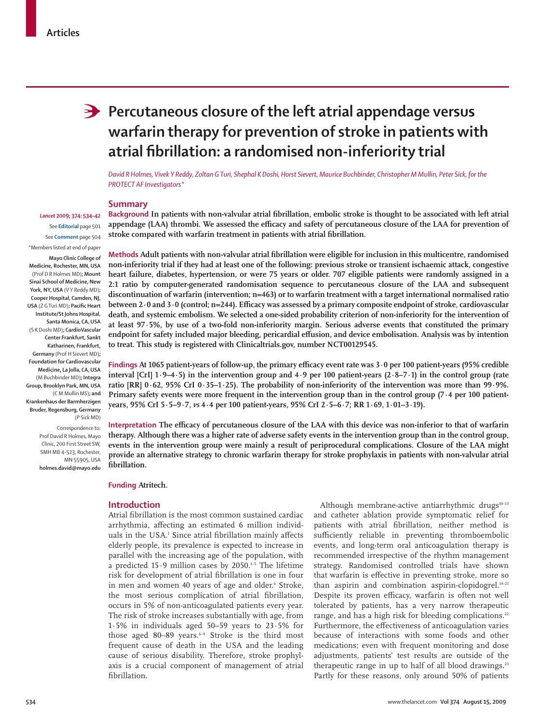# **Percutaneous closure of the left atrial appendage versus warfarin therapy for prevention of stroke in patients with atrial fi brillation: a randomised non-inferiority trial**

*David R Holmes, Vivek Y Reddy, Zoltan G Turi, Shephal K Doshi, Horst Sievert, Maurice Buchbinder, Christopher M Mullin, Peter Sick, for the PROTECT AF Investigators\**

### **Summary**

Background In patients with non-valvular atrial fibrillation, embolic stroke is thought to be associated with left atrial appendage (LAA) thrombi. We assessed the efficacy and safety of percutaneous closure of the LAA for prevention of stroke compared with warfarin treatment in patients with atrial fibrillation.

**Methods** Adult patients with non-valvular atrial fibrillation were eligible for inclusion in this multicentre, randomised **non-inferiority trial if they had at least one of the following: previous stroke or transient ischaemic attack, congestive heart failure, diabetes, hypertension, or were 75 years or older. 707 eligible patients were randomly assigned in a 2:1 ratio by computer-generated randomisation sequence to percutaneous closure of the LAA and subsequent discontinuation of warfarin (intervention; n=463) or to warfarin treatment with a target international normalised ratio**  between 2·0 and 3·0 (control; n=244). Efficacy was assessed by a primary composite endpoint of stroke, cardiovascular **death, and systemic embolism. We selected a one-sided probability criterion of non-inferiority for the intervention of at least 97·5%, by use of a two-fold non-inferiority margin. Serious adverse events that constituted the primary**  endpoint for safety included major bleeding, pericardial effusion, and device embolisation. Analysis was by intention **to treat. This study is registered with Clinicaltrials.gov, number NCT00129545.**

**Findings At 1065 patient-years of follow-up, the primary efficacy event rate was 3·0 per 100 patient-years (95% credible interval [CrI] 1·9–4·5) in the intervention group and 4·9 per 100 patient-years (2·8–7·1) in the control group (rate ratio [RR] 0·62, 95% CrI 0·35–1·25). The probability of non-inferiority of the intervention was more than 99·9%. Primary safety events were more frequent in the intervention group than in the control group (7·4 per 100 patientyears, 95% CrI 5·5–9·7,** *vs* **4·4 per 100 patient-years, 95% CrI 2·5–6·7; RR 1·69, 1·01–3·19).**

Interpretation The efficacy of percutaneous closure of the LAA with this device was non-inferior to that of warfarin **therapy. Although there was a higher rate of adverse safety events in the intervention group than in the control group, events in the intervention group were mainly a result of periprocedural complications. Closure of the LAA might provide an alternative strategy to chronic warfarin therapy for stroke prophylaxis in patients with non-valvular atrial fi brillation.** 

**Funding Atritech.**

#### **Introduction**

Atrial fibrillation is the most common sustained cardiac arrhythmia, affecting an estimated 6 million individuals in the USA.<sup>1</sup> Since atrial fibrillation mainly affects elderly people, its prevalence is expected to increase in parallel with the increasing age of the population, with a predicted  $15.9$  million cases by 2050.<sup>1-5</sup> The lifetime risk for development of atrial fibrillation is one in four in men and women 40 years of age and older.<sup>6</sup> Stroke, the most serious complication of atrial fibrillation, occurs in 5% of non-anticoagulated patients every year. The risk of stroke increases substantially with age, from 1·5% in individuals aged 50–59 years to 23·5% for those aged 80-89 years.<sup>6-9</sup> Stroke is the third most frequent cause of death in the USA and the leading cause of serious disability. Therefore, stroke prophylaxis is a crucial component of management of atrial fibrillation.

Although membrane-active antiarrhythmic drugs $10-13$ and catheter ablation provide symptomatic relief for patients with atrial fibrillation, neither method is sufficiently reliable in preventing thromboembolic events, and long-term oral anticoagulation therapy is recommended irrespective of the rhythm management strategy. Randomised controlled trials have shown that warfarin is effective in preventing stroke, more so than aspirin and combination aspirin-clopidogrel.<sup>14-21</sup> Despite its proven efficacy, warfarin is often not well tolerated by patients, has a very narrow therapeutic range, and has a high risk for bleeding complications.<sup>22</sup> Furthermore, the effectiveness of anticoagulation varies because of interactions with some foods and other medications; even with frequent monitoring and dose adjustments, patients' test results are outside of the therapeutic range in up to half of all blood drawings.<sup>23</sup> Partly for these reasons, only around 50% of patients

# *Lancet* **2009; 374: 534–42**

See **Editorial** page 501 See **Comment** page 504 \*Members listed at end of paper

**Mayo Clinic College of Medicine, Rochester, MN, USA** (Prof D R Holmes MD)**; Mount Sinai School of Medicine, New**  York, NY, USA (VY Reddy MD); **Cooper Hospital, Camden, NJ, USA** (Z G Turi MD); Pacific Heart **Institute/St Johns Hospital, Santa Monica, CA, USA**  (S K Doshi MD)**; CardioVascular Center Frankfurt, Sankt Katharinen, Frankfurt, Germany** (Prof H Sievert MD)**; Foundation for Cardiovascular Medicine, La Jolla, CA, USA**  (M Buchbinder MD)**; Integra Group, Brooklyn Park, MN, USA** (C M Mullin MS)**; and Krankenhaus der Barmherzigen Bruder, Regensburg, Germany**  (P Sick MD) Correspondence to:

Prof David R Holmes, Mayo Clinic, 200 First Street SW, SMH MB 4-523, Rochester, MN 55905, USA **holmes.david@mayo.edu**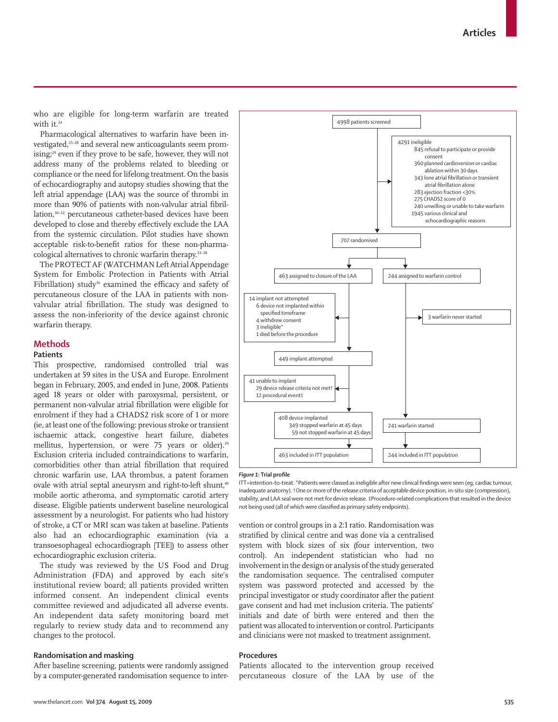who are eligible for long-term warfarin are treated with it.<sup>24</sup>

Pharmacological alternatives to warfarin have been investigated,<sup>25–28</sup> and several new anticoagulants seem promising;29 even if they prove to be safe, however, they will not address many of the problems related to bleeding or compliance or the need for lifelong treatment. On the basis of echocardiography and autopsy studies showing that the left atrial appendage (LAA) was the source of thrombi in more than 90% of patients with non-valvular atrial fibrillation,<sup>30–32</sup> percutaneous catheter-based devices have been developed to close and thereby effectively exclude the LAA from the systemic circulation. Pilot studies have shown acceptable risk-to-benefit ratios for these non-pharmacological alternatives to chronic warfarin therapy.<sup>33-38</sup>

The PROTECT AF (WATCHMAN Left Atrial Appendage System for Embolic Protection in Patients with Atrial Fibrillation) study<sup>36</sup> examined the efficacy and safety of percutaneous closure of the LAA in patients with nonvalvular atrial fibrillation. The study was designed to assess the non-inferiority of the device against chronic warfarin therapy.

# **Methods**

# **Patients**

This prospective, randomised controlled trial was undertaken at 59 sites in the USA and Europe. Enrolment began in February, 2005, and ended in June, 2008. Patients aged 18 years or older with paroxysmal, persistent, or permanent non-valvular atrial fibrillation were eligible for enrolment if they had a CHADS2 risk score of 1 or more (ie, at least one of the following: previous stroke or transient ischaemic attack, congestive heart failure, diabetes mellitus, hypertension, or were 75 years or older).<sup>39</sup> Exclusion criteria included contraindications to warfarin, comorbidities other than atrial fibrillation that required chronic warfarin use, LAA thrombus, a patent foramen ovale with atrial septal aneurysm and right-to-left shunt,<sup>40</sup> mobile aortic atheroma, and symptomatic carotid artery disease. Eligible patients underwent baseline neurological assessment by a neurologist. For patients who had history of stroke, a CT or MRI scan was taken at baseline. Patients also had an echocardiographic examination (via a transoesophageal echocardiograph [TEE]) to assess other echocardiographic exclusion criteria.

The study was reviewed by the US Food and Drug Administration (FDA) and approved by each site's institutional review board; all patients provided written informed consent. An independent clinical events committee reviewed and adjudicated all adverse events. An independent data safety monitoring board met regularly to review study data and to recommend any changes to the protocol.

# **Randomisation and masking**

After baseline screening, patients were randomly assigned by a computer-generated randomisation sequence to inter-



#### *Figure 1: Trial profile*

ITT=intention-to-treat. \*Patients were classed as ineligible after new clinical fi ndings were seen (eg, cardiac tumour, inadequate anatomy). †One or more of the release criteria of acceptable device position, in-situ size (compression), stability, and LAA seal were not met for device release. ‡Procedure-related complications that resulted in the device not being used (all of which were classified as primary safety endpoints).

vention or control groups in a 2:1 ratio. Randomisation was stratified by clinical centre and was done via a centralised system with block sizes of six (four intervention, two control). An independent statistician who had no involvement in the design or analysis of the study generated the randomisation sequence. The centralised computer system was password protected and accessed by the principal investigator or study coordinator after the patient gave consent and had met inclusion criteria. The patients' initials and date of birth were entered and then the patient was allocated to intervention or control. Participants and clinicians were not masked to treatment assignment.

# **Procedures**

Patients allocated to the intervention group received percutaneous closure of the LAA by use of the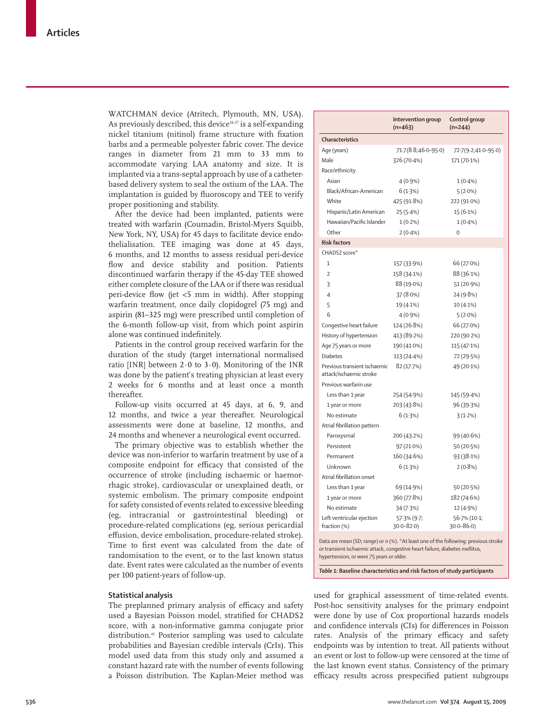WATCHMAN device (Atritech, Plymouth, MN, USA). As previously described, this device<sup>36,37</sup> is a self-expanding nickel titanium (nitinol) frame structure with fixation barbs and a permeable polyester fabric cover. The device ranges in diameter from 21 mm to 33 mm to accommodate varying LAA anatomy and size. It is implanted via a trans-septal approach by use of a catheterbased delivery system to seal the ostium of the LAA. The implantation is guided by fluoroscopy and TEE to verify proper positioning and stability.

After the device had been implanted, patients were treated with warfarin (Coumadin, Bristol-Myers Squibb, New York, NY, USA) for 45 days to facilitate device endothelialisation. TEE imaging was done at 45 days, 6 months, and 12 months to assess residual peri-device flow and device stability and position. Patients discontinued warfarin therapy if the 45-day TEE showed either complete closure of the LAA or if there was residual peri-device flow (jet <5 mm in width). After stopping warfarin treatment, once daily clopidogrel (75 mg) and aspirin (81–325 mg) were prescribed until completion of the 6-month follow-up visit, from which point aspirin alone was continued indefinitely.

Patients in the control group received warfarin for the duration of the study (target international normalised ratio [INR] between  $2.0$  to  $3.0$ ). Monitoring of the INR was done by the patient's treating physician at least every 2 weeks for 6 months and at least once a month thereafter.

Follow-up visits occurred at 45 days, at 6, 9, and 12 months, and twice a year thereafter. Neurological assessments were done at baseline, 12 months, and 24 months and whenever a neurological event occurred.

The primary objective was to establish whether the device was non-inferior to warfarin treatment by use of a composite endpoint for efficacy that consisted of the occurrence of stroke (including ischaemic or haemorrhagic stroke), cardiovascular or unexplained death, or systemic embolism. The primary composite endpoint for safety consisted of events related to excessive bleeding (eg, intracranial or gastrointestinal bleeding) or procedure-related complications (eg, serious pericardial effusion, device embolisation, procedure-related stroke). Time to first event was calculated from the date of randomisation to the event, or to the last known status date. Event rates were calculated as the number of events per 100 patient-years of follow-up.

## **Statistical analysis**

The preplanned primary analysis of efficacy and safety used a Bayesian Poisson model, stratified for CHADS2 score, with a non-informative gamma conjugate prior distribution.41 Posterior sampling was used to calculate probabilities and Bayesian credible intervals (CrIs). This model used data from this study only and assumed a constant hazard rate with the number of events following a Poisson distribution. The Kaplan-Meier method was

|                                                         | Intervention group<br>$(n=463)$ | Control group<br>$(n=244)$ |
|---------------------------------------------------------|---------------------------------|----------------------------|
| Characteristics                                         |                                 |                            |
| Age (years)                                             | 71.7(8.8;46.0-95.0)             | 72-7(9-2;41-0-95-0)        |
| Male                                                    | 326 (70-4%)                     | 171 (70.1%)                |
| Race/ethnicity                                          |                                 |                            |
| Asian                                                   | $4(0.9\%)$                      | $1(0.4\%)$                 |
| Black/African-American                                  | 6(1.3%)                         | $5(2.0\%)$                 |
| White                                                   | 425 (91.8%)                     | 222 (91.0%)                |
| Hispanic/Latin American                                 | 25 (5-4%)                       | 15 (6.1%)                  |
| Hawaiian/Pacific Islander                               | $1(0.2\%)$                      | $1(0.4\%)$                 |
| Other                                                   | $2(0.4\%)$                      | $\mathbf 0$                |
| <b>Risk factors</b>                                     |                                 |                            |
| CHADS2 score*                                           |                                 |                            |
| $\mathbf{1}$                                            | 157 (33.9%)                     | 66 (27.0%)                 |
| $\overline{2}$                                          | 158 (34.1%)                     | 88 (36.1%)                 |
| 3                                                       | 88 (19.0%)                      | 51 (20.9%)                 |
| $\overline{4}$                                          | 37 (8.0%)                       | 24 (9.8%)                  |
| 5                                                       | 19 (4.1%)                       | $10(4.1\%)$                |
| 6                                                       | $4(0.9\%)$                      | $5(2.0\%)$                 |
| Congestive heart failure                                | 124 (26.8%)                     | 66 (27.0%)                 |
| History of hypertension                                 | 413 (89.2%)                     | 220 (90-2%)                |
| Age 75 years or more                                    | 190 (41.0%)                     | 115 (47.1%)                |
| <b>Diabetes</b>                                         | 113 (24-4%)                     | 72 (29.5%)                 |
| Previous transient ischaemic<br>attack/ischaemic stroke | 82 (17.7%)                      | 49 (20.1%)                 |
| Previous warfarin use                                   |                                 |                            |
| Less than 1 year                                        | 254 (54.9%)                     | 145 (59.4%)                |
| 1 year or more                                          | 203 (43.8%)                     | 96 (39.3%)                 |
| No estimate                                             | 6(1.3%)                         | 3(1.2%)                    |
| Atrial fibrillation pattern                             |                                 |                            |
| Paroxysmal                                              | 200 (43.2%)                     | 99 (40.6%)                 |
| Persistent                                              | 97 (21.0%)                      | 50 (20.5%)                 |
| Permanent                                               | 160 (34.6%)                     | 93 (38.1%)                 |
| Unknown                                                 | 6(1.3%)                         | $2(0.8\%)$                 |
| Atrial fibrillation onset                               |                                 |                            |
| Less than 1 year                                        | 69 (14.9%)                      | 50 (20.5%)                 |
| 1 year or more                                          | 360 (77.8%)                     | 182 (74.6%)                |
| No estimate                                             | 34 (7.3%)                       | 12 (4.9%)                  |
| Left ventricular ejection                               | 57.3% (9.7;                     | 56.7% (10-1;               |
| fraction (%)                                            | $30.0 - 82.0$                   | $30.0 - 86.0$              |

*Table 1:* **Baseline characteristics and risk factors of study participants**

used for graphical assessment of time-related events. Post-hoc sensitivity analyses for the primary endpoint were done by use of Cox proportional hazards models and confidence intervals (CIs) for differences in Poisson rates. Analysis of the primary efficacy and safety endpoints was by intention to treat. All patients without an event or lost to follow-up were censored at the time of the last known event status. Consistency of the primary efficacy results across prespecified patient subgroups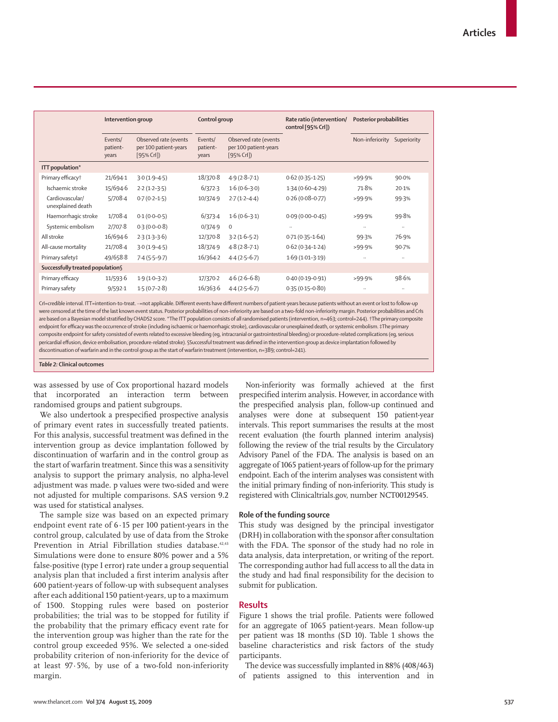|                                      | Intervention group           |                                                                | Control group                |                                                             | Rate ratio (intervention/<br>control [95% Crl]) | Posterior probabilities |             |
|--------------------------------------|------------------------------|----------------------------------------------------------------|------------------------------|-------------------------------------------------------------|-------------------------------------------------|-------------------------|-------------|
|                                      | Events/<br>patient-<br>years | Observed rate (events<br>per 100 patient-years<br>$[95%$ CrI]) | Events/<br>patient-<br>years | Observed rate (events<br>per 100 patient-years<br>[95% Crl] |                                                 | Non-inferiority         | Superiority |
| ITT population*                      |                              |                                                                |                              |                                                             |                                                 |                         |             |
| Primary efficacy <sup>+</sup>        | 21/694-1                     | $3.0(1.9 - 4.5)$                                               | 18/370.8                     | $4.9(2.8 - 7.1)$                                            | $0.62(0.35 - 1.25)$                             | >99.9%                  | 90.0%       |
| Ischaemic stroke                     | 15/694.6                     | $2.2(1.2-3.5)$                                                 | 6/372.3                      | $1.6(0.6-3.0)$                                              | $1.34(0.60 - 4.29)$                             | 71.8%                   | 20.1%       |
| Cardiovascular/<br>unexplained death | 5/708.4                      | $0.7(0.2 - 1.5)$                                               | 10/374-9                     | $2.7(1.2 - 4.4)$                                            | $0.26(0.08 - 0.77)$                             | >99.9%                  | 99.3%       |
| Haemorrhagic stroke                  | 1/708.4                      | $0.1(0.0-0.5)$                                                 | 6/373.4                      | $1.6(0.6-3.1)$                                              | $0.09(0.00 - 0.45)$                             | >99.9%                  | 99.8%       |
| Systemic embolism                    | 2/707.8                      | $0.3(0.0-0.8)$                                                 | 0/374.9                      | $\Omega$                                                    |                                                 | $\ddotsc$               | $\cdots$    |
| All stroke                           | 16/694.6                     | $2.3(1.3-3.6)$                                                 | 12/370.8                     | $3.2(1.6-5.2)$                                              | $0.71(0.35 - 1.64)$                             | 99.3%                   | 76.9%       |
| All-cause mortality                  | 21/708-4                     | $3.0(1.9 - 4.5)$                                               | 18/374.9                     | $4.8(2.8-7.1)$                                              | $0.62(0.34 - 1.24)$                             | >99.9%                  | 90.7%       |
| Primary safety‡                      | 49/658-8                     | $7.4(5.5-9.7)$                                                 | 16/364.2                     | $4.4(2.5-6.7)$                                              | $1.69(1.01-3.19)$                               | $\ddotsc$               | $\ddotsc$   |
| Successfully treated population§     |                              |                                                                |                              |                                                             |                                                 |                         |             |
| Primary efficacy                     | 11/593.6                     | $1.9(1.0-3.2)$                                                 | 17/370-2                     | $4.6(2.6-6.8)$                                              | $0.40(0.19 - 0.91)$                             | >99.9%                  | 98.6%       |
| Primary safety                       | 9/592.1                      | $1.5(0.7-2.8)$                                                 | 16/363.6                     | $4.4(2.5-6.7)$                                              | $0.35(0.15 - 0.80)$                             | $\ldots$                | $\ddotsc$   |
|                                      |                              |                                                                |                              |                                                             |                                                 |                         |             |

CrI=credible interval. ITT=intention-to-treat. <sup>..</sup>=not applicable. Different events have different numbers of patient-years because patients without an event or lost to follow-up were censored at the time of the last known event status. Posterior probabilities of non-inferiority are based on a two-fold non-inferiority margin. Posterior probabilities and CrIs are based on a Bayesian model stratified by CHADS2 score. \*The ITT population consists of all randomised patients (intervention, n=463; control=244). †The primary composite endpoint for efficacy was the occurrence of stroke (including ischaemic or haemorrhagic stroke), cardiovascular or unexplained death, or systemic embolism. ‡The primary composite endpoint for safety consisted of events related to excessive bleeding (eg, intracranial or gastrointestinal bleeding) or procedure-related complications (eg, serious pericardial effusion, device embolisation, procedure-related stroke). SSuccessful treatment was defined in the intervention group as device implantation followed by discontinuation of warfarin and in the control group as the start of warfarin treatment (intervention, n=389; control=241).

*Table 2:* **Clinical outcomes**

was assessed by use of Cox proportional hazard models that incorporated an interaction term between randomised groups and patient subgroups.

We also undertook a prespecified prospective analysis of primary event rates in successfully treated patients. For this analysis, successful treatment was defined in the intervention group as device implantation followed by discontinuation of warfarin and in the control group as the start of warfarin treatment. Since this was a sensitivity analysis to support the primary analysis, no alpha-level adjustment was made. p values were two-sided and were not adjusted for multiple comparisons. SAS version 9.2 was used for statistical analyses.

The sample size was based on an expected primary endpoint event rate of 6·15 per 100 patient-years in the control group, calculated by use of data from the Stroke Prevention in Atrial Fibrillation studies database.<sup>42,43</sup> Simulations were done to ensure 80% power and a 5% false-positive (type I error) rate under a group sequential analysis plan that included a first interim analysis after 600 patient-years of follow-up with subsequent analyses after each additional 150 patient-years, up to a maximum of 1500. Stopping rules were based on posterior probabilities; the trial was to be stopped for futility if the probability that the primary efficacy event rate for the intervention group was higher than the rate for the control group exceeded 95%. We selected a one-sided probability criterion of non-inferiority for the device of at least 97·5%, by use of a two-fold non-inferiority margin.

Non-inferiority was formally achieved at the first prespecified interim analysis. However, in accordance with the prespecified analysis plan, follow-up continued and analyses were done at subsequent 150 patient-year intervals. This report summarises the results at the most recent evaluation (the fourth planned interim analysis) following the review of the trial results by the Circulatory Advisory Panel of the FDA. The analysis is based on an aggregate of 1065 patient-years of follow-up for the primary endpoint. Each of the interim analyses was consistent with the initial primary finding of non-inferiority. This study is registered with Clinicaltrials.gov, number NCT00129545.

#### **Role of the funding source**

This study was designed by the principal investigator (DRH) in collaboration with the sponsor after consultation with the FDA. The sponsor of the study had no role in data analysis, data interpretation, or writing of the report. The corresponding author had full access to all the data in the study and had final responsibility for the decision to submit for publication.

## **Results**

Figure 1 shows the trial profile. Patients were followed for an aggregate of 1065 patient-years. Mean follow-up per patient was 18 months (SD 10). Table 1 shows the baseline characteristics and risk factors of the study participants.

The device was successfully implanted in 88% (408/463) of patients assigned to this intervention and in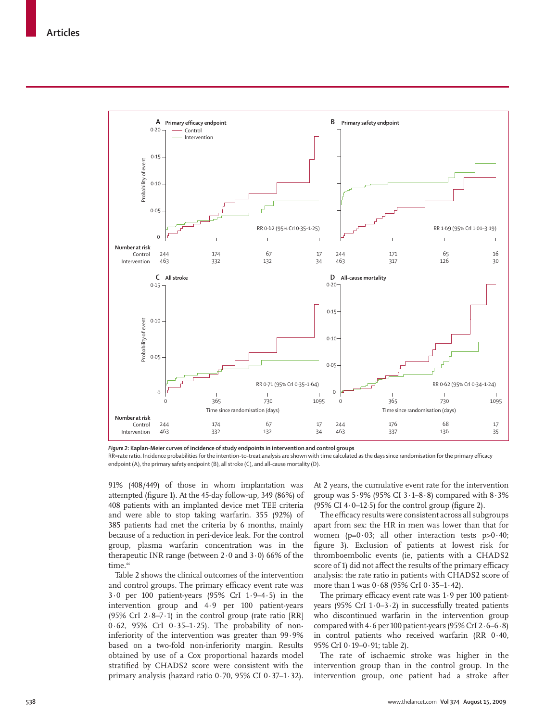

*Figure 2***: Kaplan-Meier curves of incidence of study endpoints in intervention and control groups** RR=rate ratio. Incidence probabilities for the intention-to-treat analysis are shown with time calculated as the days since randomisation for the primary efficacy endpoint (A), the primary safety endpoint (B), all stroke (C), and all-cause mortality (D).

91% (408/449) of those in whom implantation was attempted (figure 1). At the 45-day follow-up, 349 (86%) of 408 patients with an implanted device met TEE criteria and were able to stop taking warfarin. 355 (92%) of 385 patients had met the criteria by 6 months, mainly because of a reduction in peri-device leak. For the control group, plasma warfarin concentration was in the therapeutic INR range (between  $2 \cdot 0$  and  $3 \cdot 0$ ) 66% of the time.<sup>44</sup>

Table 2 shows the clinical outcomes of the intervention and control groups. The primary efficacy event rate was 3·0 per 100 patient-years (95% CrI 1·9–4·5) in the intervention group and 4·9 per 100 patient-years (95% CrI 2 $\cdot$ 8-7 $\cdot$ 1) in the control group (rate ratio [RR] 0·62, 95% CrI 0·35–1·25). The probability of noninferiority of the intervention was greater than 99·9% based on a two-fold non-inferiority margin. Results obtained by use of a Cox proportional hazards model stratified by CHADS2 score were consistent with the primary analysis (hazard ratio 0·70, 95% CI 0·37–1·32).

At 2 years, the cumulative event rate for the intervention group was  $5.9\%$  (95% CI  $3.1-8.8$ ) compared with  $8.3\%$  $(95\% \text{ CI } 4.0-12.5)$  for the control group (figure 2).

The efficacy results were consistent across all subgroups apart from sex: the HR in men was lower than that for women ( $p=0.03$ ; all other interaction tests  $p>0.40$ ; figure 3). Exclusion of patients at lowest risk for thromboembolic events (ie, patients with a CHADS2 score of 1) did not affect the results of the primary efficacy analysis: the rate ratio in patients with CHADS2 score of more than 1 was 0·68 (95% CrI 0·35–1·42).

The primary efficacy event rate was  $1.9$  per  $100$  patientyears (95% CrI  $1.0-3.2$ ) in successfully treated patients who discontinued warfarin in the intervention group compared with  $4.6$  per 100 patient-years (95% CrI  $2.6 - 6.8$ ) in control patients who received warfarin (RR 0·40, 95% CrI 0·19–0·91; table 2).

The rate of ischaemic stroke was higher in the intervention group than in the control group. In the intervention group, one patient had a stroke after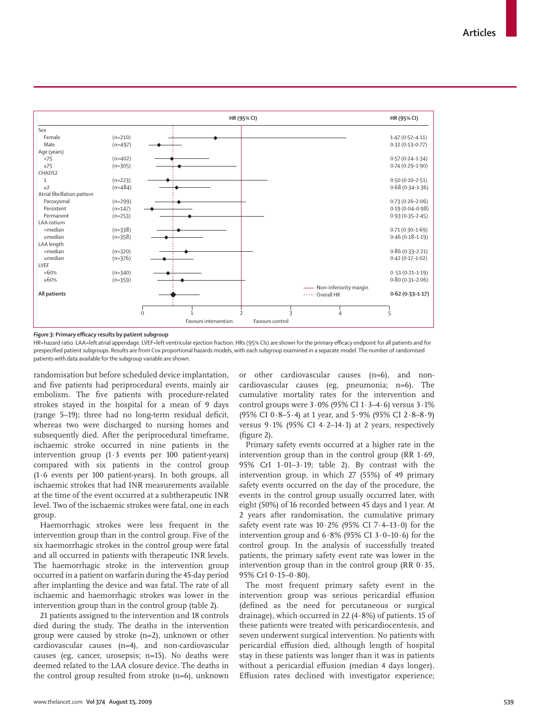

Figure 3: Primary efficacy results by patient subgroup

HR=hazard ratio. LAA=left atrial appendage. LVEF=left ventricular ejection fraction. HRs (95% CIs) are shown for the primary efficacy endpoint for all patients and for prespecified patient subgroups. Results are from Cox proportional hazards models, with each subgroup examined in a separate model. The number of randomised patients with data available for the subgroup variable are shown.

randomisation but before scheduled device implantation, and five patients had periprocedural events, mainly air embolism. The five patients with procedure-related strokes stayed in the hospital for a mean of 9 days (range  $5-19$ ); three had no long-term residual deficit, whereas two were discharged to nursing homes and subsequently died. After the periprocedural timeframe, ischaemic stroke occurred in nine patients in the intervention group (1·3 events per 100 patient-years) compared with six patients in the control group (1·6 events per 100 patient-years). In both groups, all ischaemic strokes that had INR measurements available at the time of the event occurred at a subtherapeutic INR level. Two of the ischaemic strokes were fatal, one in each group.

Haemorrhagic strokes were less frequent in the intervention group than in the control group. Five of the six haemorrhagic strokes in the control group were fatal and all occurred in patients with therapeutic INR levels. The haemorrhagic stroke in the intervention group occurred in a patient on warfarin during the 45-day period after implanting the device and was fatal. The rate of all ischaemic and haemorrhagic strokes was lower in the intervention group than in the control group (table 2).

21 patients assigned to the intervention and 18 controls died during the study. The deaths in the intervention group were caused by stroke (n=2), unknown or other cardiovascular causes (n=4), and non-cardiovascular causes (eg, cancer, urosepsis; n=15). No deaths were deemed related to the LAA closure device. The deaths in the control group resulted from stroke (n=6), unknown

or other cardiovascular causes (n=6), and noncardiovascular causes (eg, pneumonia; n=6). The cumulative mortality rates for the intervention and control groups were  $3.0\%$  (95% CI  $1.3-4.6$ ) versus  $3.1\%$ (95% CI 0·8–5·4) at 1 year, and 5·9% (95% CI 2·8–8·9) versus  $9.1\%$  (95% CI 4 $\cdot$ 2-14 $\cdot$ 1) at 2 years, respectively  $(figure 2)$ .

Primary safety events occurred at a higher rate in the intervention group than in the control group (RR 1·69, 95% CrI 1·01–3·19; table 2). By contrast with the intervention group, in which 27 (55%) of 49 primary safety events occurred on the day of the procedure, the events in the control group usually occurred later, with eight (50%) of 16 recorded between 45 days and 1 year. At 2 years after randomisation, the cumulative primary safety event rate was  $10.2\%$  (95% CI 7.4-13.0) for the intervention group and  $6.8\%$  (95% CI  $3.0-10.6$ ) for the control group. In the analysis of successfully treated patients, the primary safety event rate was lower in the intervention group than in the control group (RR 0·35, 95% CrI 0·15–0·80).

The most frequent primary safety event in the intervention group was serious pericardial effusion (defined as the need for percutaneous or surgical drainage), which occurred in 22 (4·8%) of patients. 15 of these patients were treated with pericardiocentesis, and seven underwent surgical intervention. No patients with pericardial effusion died, although length of hospital stay in these patients was longer than it was in patients without a pericardial effusion (median 4 days longer). Effusion rates declined with investigator experience;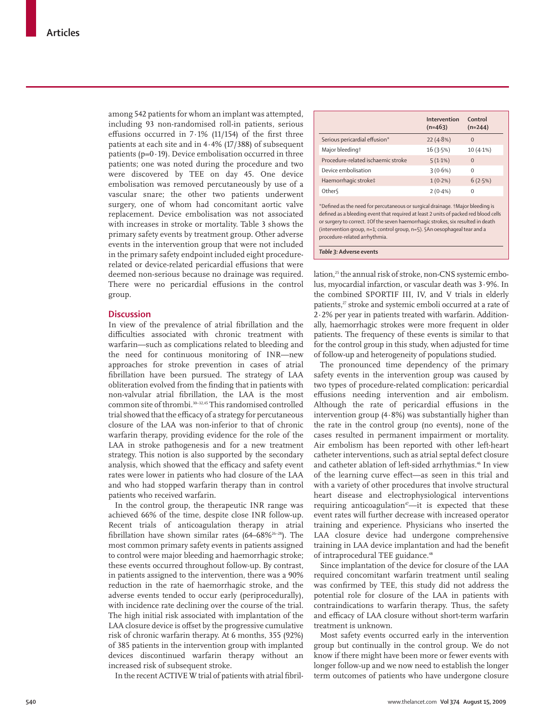among 542 patients for whom an implant was attempted, including 93 non-randomised roll-in patients, serious effusions occurred in 7 $\cdot$ 1% (11/154) of the first three patients at each site and in 4·4% (17/388) of subsequent patients ( $p=0.19$ ). Device embolisation occurred in three patients; one was noted during the procedure and two were discovered by TEE on day 45. One device embolisation was removed percutaneously by use of a vascular snare; the other two patients underwent surgery, one of whom had concomitant aortic valve replacement. Device embolisation was not associated with increases in stroke or mortality. Table 3 shows the primary safety events by treatment group. Other adverse events in the intervention group that were not included in the primary safety endpoint included eight procedurerelated or device-related pericardial effusions that were deemed non-serious because no drainage was required. There were no pericardial effusions in the control group.

## **Discussion**

In view of the prevalence of atrial fibrillation and the difficulties associated with chronic treatment with warfarin—such as complications related to bleeding and the need for continuous monitoring of INR—new approaches for stroke prevention in cases of atrial fibrillation have been pursued. The strategy of LAA obliteration evolved from the finding that in patients with non-valvular atrial fibrillation, the LAA is the most common site of thrombi.30–32,45 This randomised controlled trial showed that the efficacy of a strategy for percutaneous closure of the LAA was non-inferior to that of chronic warfarin therapy, providing evidence for the role of the LAA in stroke pathogenesis and for a new treatment strategy. This notion is also supported by the secondary analysis, which showed that the efficacy and safety event rates were lower in patients who had closure of the LAA and who had stopped warfarin therapy than in control patients who received warfarin.

In the control group, the therapeutic INR range was achieved 66% of the time, despite close INR follow-up. Recent trials of anticoagulation therapy in atrial fibrillation have shown similar rates (64–68%<sup>26–28</sup>). The most common primary safety events in patients assigned to control were major bleeding and haemorrhagic stroke; these events occurred throughout follow-up. By contrast, in patients assigned to the intervention, there was a 90% reduction in the rate of haemorrhagic stroke, and the adverse events tended to occur early (periprocedurally), with incidence rate declining over the course of the trial. The high initial risk associated with implantation of the LAA closure device is offset by the progressive cumulative risk of chronic warfarin therapy. At 6 months, 355 (92%) of 385 patients in the intervention group with implanted devices discontinued warfarin therapy without an increased risk of subsequent stroke.

In the recent ACTIVE W trial of patients with atrial fibril-

|                                                                                                                                                                                                                                                                                                                                         | Intervention<br>$(n=463)$ | Control<br>$(n=244)$ |
|-----------------------------------------------------------------------------------------------------------------------------------------------------------------------------------------------------------------------------------------------------------------------------------------------------------------------------------------|---------------------------|----------------------|
| Serious pericardial effusion*                                                                                                                                                                                                                                                                                                           | $22(4.8\%)$               | $\Omega$             |
| Major bleeding†                                                                                                                                                                                                                                                                                                                         | 16(3.5%)                  | $10(4.1\%)$          |
| Procedure-related ischaemic stroke                                                                                                                                                                                                                                                                                                      | $5(1.1\%)$                | $\Omega$             |
| Device embolisation                                                                                                                                                                                                                                                                                                                     | $3(0.6\%)$                | $\Omega$             |
| Haemorrhagic stroke‡                                                                                                                                                                                                                                                                                                                    | $1(0.2\%)$                | 6(2.5%)              |
| Other <sub>§</sub>                                                                                                                                                                                                                                                                                                                      | $2(0.4\%)$                | $\Omega$             |
| *Defined as the need for percutaneous or surgical drainage. †Major bleeding is<br>defined as a bleeding event that required at least 2 units of packed red blood cells<br>or surgery to correct. #Of the seven haemorrhagic strokes, six resulted in death<br>(intervention group, n=1; control group, n=5). §An oesophageal tear and a |                           |                      |

lation,<sup>25</sup> the annual risk of stroke, non-CNS systemic embolus, myocardial infarction, or vascular death was 3·9%. In the combined SPORTIF III, IV, and V trials in elderly patients,<sup>27</sup> stroke and systemic emboli occurred at a rate of 2·2% per year in patients treated with warfarin. Additionally, haemorrhagic strokes were more frequent in older patients. The frequency of these events is similar to that for the control group in this study, when adjusted for time of follow-up and heterogeneity of populations studied.

The pronounced time dependency of the primary safety events in the intervention group was caused by two types of procedure-related complication: pericardial effusions needing intervention and air embolism. Although the rate of pericardial effusions in the intervention group (4·8%) was substantially higher than the rate in the control group (no events), none of the cases resulted in permanent impairment or mortality. Air embolism has been reported with other left-heart catheter interventions, such as atrial septal defect closure and catheter ablation of left-sided arrhythmias.<sup>46</sup> In view of the learning curve effect—as seen in this trial and with a variety of other procedures that involve structural heart disease and electrophysiological interventions requiring anticoagulation<sup>47</sup>—it is expected that these event rates will further decrease with increased operator training and experience. Physicians who inserted the LAA closure device had undergone comprehensive training in LAA device implantation and had the benefit of intraprocedural TEE guidance.<sup>48</sup>

Since implantation of the device for closure of the LAA required concomitant warfarin treatment until sealing was confirmed by TEE, this study did not address the potential role for closure of the LAA in patients with contraindications to warfarin therapy. Thus, the safety and efficacy of LAA closure without short-term warfarin treatment is unknown.

Most safety events occurred early in the intervention group but continually in the control group. We do not know if there might have been more or fewer events with longer follow-up and we now need to establish the longer term outcomes of patients who have undergone closure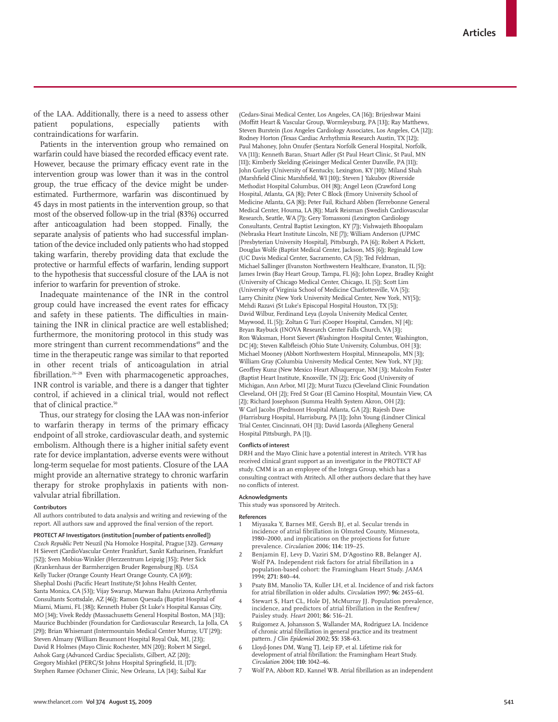of the LAA. Additionally, there is a need to assess other patient populations, especially patients with contraindications for warfarin.

Patients in the intervention group who remained on warfarin could have biased the recorded efficacy event rate. However, because the primary efficacy event rate in the intervention group was lower than it was in the control group, the true efficacy of the device might be underestimated. Furthermore, warfarin was discontinued by 45 days in most patients in the intervention group, so that most of the observed follow-up in the trial (83%) occurred after anticoagulation had been stopped. Finally, the separate analysis of patients who had successful implantation of the device included only patients who had stopped taking warfarin, thereby providing data that exclude the protective or harmful effects of warfarin, lending support to the hypothesis that successful closure of the LAA is not inferior to warfarin for prevention of stroke.

Inadequate maintenance of the INR in the control group could have increased the event rates for efficacy and safety in these patients. The difficulties in maintaining the INR in clinical practice are well established; furthermore, the monitoring protocol in this study was more stringent than current recommendations<sup>49</sup> and the time in the therapeutic range was similar to that reported in other recent trials of anticoagulation in atrial fibrillation.<sup>26-28</sup> Even with pharmacogenetic approaches, INR control is variable, and there is a danger that tighter control, if achieved in a clinical trial, would not reflect that of clinical practice.<sup>50</sup>

Thus, our strategy for closing the LAA was non-inferior to warfarin therapy in terms of the primary efficacy endpoint of all stroke, cardiovascular death, and systemic embolism. Although there is a higher initial safety event rate for device implantation, adverse events were without long-term sequelae for most patients. Closure of the LAA might provide an alternative strategy to chronic warfarin therapy for stroke prophylaxis in patients with nonvalvular atrial fibrillation.

#### **Contributors**

All authors contributed to data analysis and writing and reviewing of the report. All authors saw and approved the final version of the report.

#### **PROTECT AF Investigators (institution [number of patients enrolled])**

*Czech Republic* Petr Neuzil (Na Homolce Hospital, Prague [32]). *Germany* H Sievert (CardioVascular Center Frankfurt, Sankt Katharinen, Frankfurt [52]); Sven Mobius-Winkler (Herzzentrum Leipzig [35]); Peter Sick (Krankenhaus der Barmherzigen Bruder Regensburg [8]). *USA* Kelly Tucker (Orange County Heart Orange County, CA [69]); Shephal Doshi (Pacific Heart Institute/St Johns Health Center, Santa Monica, CA [53]); Vijay Swarup, Marwan Bahu (Arizona Arrhythmia Consultants Scottsdale, AZ [46]); Ramon Quesada (Baptist Hospital of Miami, Miami, FL [38]); Kenneth Huber (St Luke's Hospital Kansas City, MO [34]); Vivek Reddy (Massachusetts General Hospital Boston, MA [31]); Maurice Buchbinder (Foundation for Cardiovascular Research, La Jolla, CA [29]); Brian Whisenant (Intermountain Medical Center Murray, UT [29]); Steven Almany (William Beaumont Hospital Royal Oak, MI, [23]); David R Holmes (Mayo Clinic Rochester, MN [20]); Robert M Siegel, Ashok Garg (Advanced Cardiac Specialists, Gilbert, AZ [20]); Gregory Mishkel (PERC/St Johns Hospital Springfield, IL [17]); Stephen Ramee (Ochsner Clinic, New Orleans, LA [14]); Saibal Kar

(Cedars-Sinai Medical Center, Los Angeles, CA [16]); Brijeshwar Maini (Moffitt Heart & Vascular Group, Wormleysburg, PA [13]); Ray Matthews, Steven Burstein (Los Angeles Cardiology Associates, Los Angeles, CA [12]); Rodney Horton (Texas Cardiac Arrhythmia Research Austin, TX [12]); Paul Mahoney, John Onufer (Sentara Norfolk General Hospital, Norfolk, VA [11]); Kenneth Baran, Stuart Adler (St Paul Heart Clinic, St Paul, MN [11]); Kimberly Skelding (Geisinger Medical Center Danville, PA [11]); John Gurley (University of Kentucky, Lexington, KY [10]); Miland Shah (Marshfield Clinic Marshfield, WI [10]); Steven J Yakubov (Riverside Methodist Hospital Columbus, OH [8]); Angel Leon (Crawford Long Hospital, Atlanta, GA [8]); Peter C Block (Emory University School of Medicine Atlanta, GA [8]); Peter Fail, Richard Abben (Terrebonne General Medical Center, Houma, LA [8]); Mark Reisman (Swedish Cardiovascular Research, Seattle, WA [7]); Gery Tomassoni (Lexington Cardiology Consultants, Central Baptist Lexington, KY [7]); Vishwajeth Bhoopalam (Nebraska Heart Institute Lincoln, NE [7]); William Anderson (UPMC [Presbyterian University Hospital], Pittsburgh, PA [6]); Robert A Pickett, Douglas Wolfe (Baptist Medical Center, Jackson, MS [6]); Reginald Low (UC Davis Medical Center, Sacramento, CA [5]); Ted Feldman, Michael Sallinger (Evanston Northwestern Healthcare, Evanston, IL [5]); James Irwin (Bay Heart Group, Tampa, FL [6]); John Lopez, Bradley Knight (University of Chicago Medical Center, Chicago, IL [5]); Scott Lim (University of Virginia School of Medicine Charlottesville, VA [5]); Larry Chinitz (New York University Medical Center, New York, NY[5]); Mehdi Razavi (St Luke's Episcopal Hospital Houston, TX [5]); David Wilbur, Ferdinand Leya (Loyola University Medical Center, Maywood, IL [5]); Zoltan G Turi (Cooper Hospital, Camden, NJ [4]); Bryan Raybuck (INOVA Research Center Falls Church, VA [3]); Ron Waksman, Horst Sievert (Washington Hospital Center, Washington, DC [4]); Steven Kalbfleisch (Ohio State University, Columbus, OH [3]); Michael Mooney (Abbott Northwestern Hospital, Minneapolis, MN [3]); William Gray (Columbia University Medical Center, New York, NY [3]); Geoffrey Kunz (New Mexico Heart Albuquerque, NM [3]); Malcolm Foster (Baptist Heart Institute, Knoxville, TN [2]); Eric Good (University of Michigan, Ann Arbor, MI [2]); Murat Tuzcu (Cleveland Clinic Foundation Cleveland, OH [2]); Fred St Goar (El Camino Hospital, Mountain View, CA [2]); Richard Josephson (Summa Health System Akron, OH [2]); W Carl Jacobs (Piedmont Hospital Atlanta, GA [2]); Rajesh Dave (Harrisburg Hospital, Harrisburg, PA [1]); John Young (Lindner Clinical Trial Center, Cincinnati, OH [1]); David Lasorda (Allegheny General Hospital Pittsburgh, PA [1]).

#### **Conflicts of interest**

DRH and the Mayo Clinic have a potential interest in Atritech. VYR has received clinical grant support as an investigator in the PROTECT AF study. CMM is an an employee of the Integra Group, which has a consulting contract with Atritech. All other authors declare that they have no conflicts of interest.

#### **Acknowledgments**

This study was sponsored by Atritech.

# **References**<br>1 Mivas

- 1 Miyasaka Y, Barnes ME, Gersh BJ, et al. Secular trends in incidence of atrial fibrillation in Olmsted County, Minnesota, 1980–2000, and implications on the projections for future prevalence. *Circulation* 2006; **114:** 119–25.
- 2 Benjamin EJ, Levy D, Vaziri SM, D'Agostino RB, Belanger AJ, Wolf PA. Independent risk factors for atrial fibrillation in a population-based cohort: the Framingham Heart Study. *JAMA* 1994; **271:** 840–44.
- Psaty BM, Manolio TA, Kuller LH, et al. Incidence of and risk factors for atrial fibrillation in older adults. *Circulation* 1997; 96: 2455–61.
- Stewart S, Hart CL, Hole DJ, McMurray JJ. Population prevalence, incidence, and predictors of atrial fibrillation in the Renfrew/ Paisley study. *Heart* 2001; **86:** 516–21.
- 5 Ruigomez A, Johansson S, Wallander MA, Rodriguez LA. Incidence of chronic atrial fibrillation in general practice and its treatment pattern. *J Clin Epidemiol* 2002; **55:** 358–63.
- 6 Lloyd-Jones DM, Wang TJ, Leip EP, et al. Lifetime risk for development of atrial fibrillation: the Framingham Heart Study. *Circulation* 2004; **110:** 1042–46.
- 7 Wolf PA, Abbott RD, Kannel WB. Atrial fibrillation as an independent